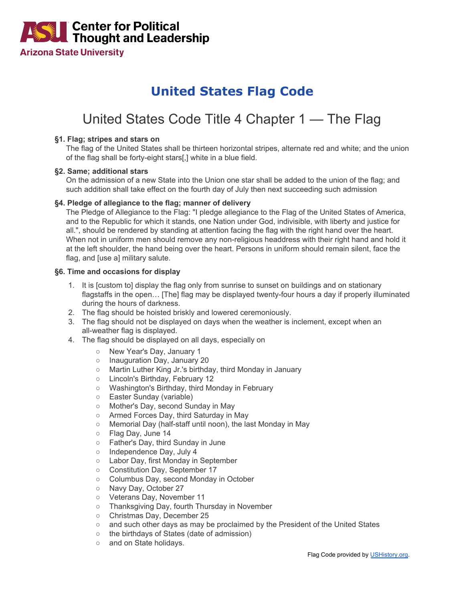

# **United States Flag Code**

# United States Code Title 4 Chapter 1 — The Flag

#### **§1. Flag; stripes and stars on**

The flag of the United States shall be thirteen horizontal stripes, alternate red and white; and the union of the flag shall be forty-eight stars[,] white in a blue field.

#### **§2. Same; additional stars**

On the admission of a new State into the Union one star shall be added to the union of the flag; and such addition shall take effect on the fourth day of July then next succeeding such admission

#### **§4. Pledge of allegiance to the flag; manner of delivery**

The Pledge of Allegiance to the Flag: "I pledge allegiance to the Flag of the United States of America, and to the Republic for which it stands, one Nation under God, indivisible, with liberty and justice for all.", should be rendered by standing at attention facing the flag with the right hand over the heart. When not in uniform men should remove any non-religious headdress with their right hand and hold it at the left shoulder, the hand being over the heart. Persons in uniform should remain silent, face the flag, and [use a] military salute.

#### **§6. Time and occasions for display**

- 1. It is [custom to] display the flag only from sunrise to sunset on buildings and on stationary flagstaffs in the open… [The] flag may be displayed twenty-four hours a day if properly illuminated during the hours of darkness.
- 2. The flag should be hoisted briskly and lowered ceremoniously.
- 3. The flag should not be displayed on days when the weather is inclement, except when an all-weather flag is displayed.
- 4. The flag should be displayed on all days, especially on
	- o New Year's Day, January 1
	- o Inauguration Day, January 20
	- Martin Luther King Jr.'s birthday, third Monday in January
	- Lincoln's Birthday, February 12
	- Washington's Birthday, third Monday in February<br>○ Easter Sunday (variable)
	- Easter Sunday (variable)
	- Mother's Day, second Sunday in May
	- Armed Forces Day, third Saturday in May
	- Memorial Day (half-staff until noon), the last Monday in May
	- Flag Day, June 14
	- Father's Day, third Sunday in June
	- o Independence Day, July 4
	- Labor Day, first Monday in September
	- Constitution Day, September 17
	- Columbus Day, second Monday in October
	- Navy Day, October 27
	- Veterans Day, November 11
	- Thanksgiving Day, fourth Thursday in November
	- Christmas Day, December 25
	- and such other days as may be proclaimed by the President of the United States
	- the birthdays of States (date of admission)
	- o and on State holidays.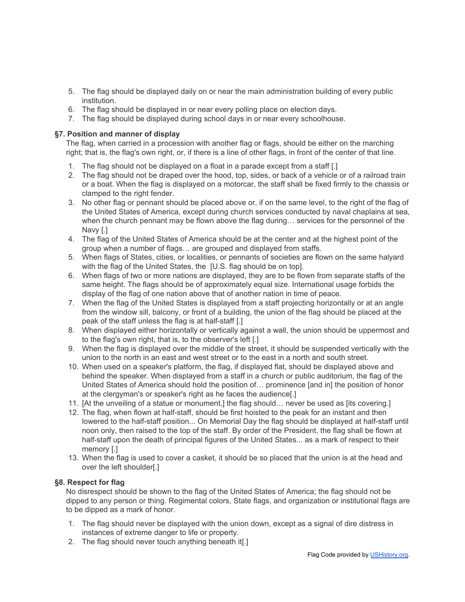- 5. The flag should be displayed daily on or near the main administration building of every public institution.
- 6. The flag should be displayed in or near every polling place on election days.
- 7. The flag should be displayed during school days in or near every schoolhouse.

### **§7. Position and manner of display**

The flag, when carried in a procession with another flag or flags, should be either on the marching right; that is, the flag's own right, or, if there is a line of other flags, in front of the center of that line.

- 1. The flag should not be displayed on a float in a parade except from a staff [.]
- 2. The flag should not be draped over the hood, top, sides, or back of a vehicle or of a railroad train or a boat. When the flag is displayed on a motorcar, the staff shall be fixed firmly to the chassis or clamped to the right fender.
- 3. No other flag or pennant should be placed above or, if on the same level, to the right of the flag of the United States of America, except during church services conducted by naval chaplains at sea, when the church pennant may be flown above the flag during… services for the personnel of the Navy [.]
- 4. The flag of the United States of America should be at the center and at the highest point of the group when a number of flags… are grouped and displayed from staffs.
- 5. When flags of States, cities, or localities, or pennants of societies are flown on the same halyard with the flag of the United States, the [U.S. flag should be on top].
- 6. When flags of two or more nations are displayed, they are to be flown from separate staffs of the same height. The flags should be of approximately equal size. International usage forbids the display of the flag of one nation above that of another nation in time of peace.
- 7. When the flag of the United States is displayed from a staff projecting horizontally or at an angle from the window sill, balcony, or front of a building, the union of the flag should be placed at the peak of the staff unless the flag is at half-staff [.]
- 8. When displayed either horizontally or vertically against a wall, the union should be uppermost and to the flag's own right, that is, to the observer's left [.]
- 9. When the flag is displayed over the middle of the street, it should be suspended vertically with the union to the north in an east and west street or to the east in a north and south street.
- 10. When used on a speaker's platform, the flag, if displayed flat, should be displayed above and behind the speaker. When displayed from a staff in a church or public auditorium, the flag of the United States of America should hold the position of… prominence [and in] the position of honor at the clergyman's or speaker's right as he faces the audience[.]
- 11. [At the unveiling of a statue or monument,] the flag should… never be used as [its covering.]
- 12. The flag, when flown at half-staff, should be first hoisted to the peak for an instant and then lowered to the half-staff position... On Memorial Day the flag should be displayed at half-staff until noon only, then raised to the top of the staff. By order of the President, the flag shall be flown at half-staff upon the death of principal figures of the United States... as a mark of respect to their memory [.]
- 13. When the flag is used to cover a casket, it should be so placed that the union is at the head and over the left shoulder[.]

## **§8. Respect for flag**

No disrespect should be shown to the flag of the United States of America; the flag should not be dipped to any person or thing. Regimental colors, State flags, and organization or institutional flags are to be dipped as a mark of honor.

- 1. The flag should never be displayed with the union down, except as a signal of dire distress in instances of extreme danger to life or property.
- 2. The flag should never touch anything beneath it[.]